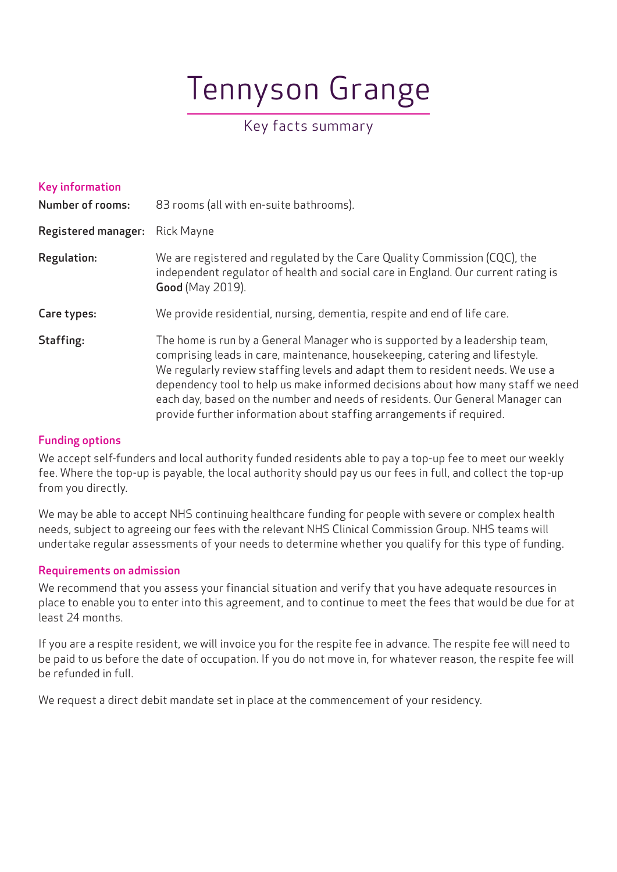# Tennyson Grange

# Key facts summary

| <b>Key information</b><br><b>Number of rooms:</b> | 83 rooms (all with en-suite bathrooms).                                                                                                                                                                                                                                                                                                                                                                                                                                                   |
|---------------------------------------------------|-------------------------------------------------------------------------------------------------------------------------------------------------------------------------------------------------------------------------------------------------------------------------------------------------------------------------------------------------------------------------------------------------------------------------------------------------------------------------------------------|
| <b>Registered manager:</b>                        | <b>Rick Mayne</b>                                                                                                                                                                                                                                                                                                                                                                                                                                                                         |
| <b>Regulation:</b>                                | We are registered and regulated by the Care Quality Commission (CQC), the<br>independent regulator of health and social care in England. Our current rating is<br><b>Good</b> (May 2019).                                                                                                                                                                                                                                                                                                 |
| Care types:                                       | We provide residential, nursing, dementia, respite and end of life care.                                                                                                                                                                                                                                                                                                                                                                                                                  |
| Staffing:                                         | The home is run by a General Manager who is supported by a leadership team,<br>comprising leads in care, maintenance, housekeeping, catering and lifestyle.<br>We regularly review staffing levels and adapt them to resident needs. We use a<br>dependency tool to help us make informed decisions about how many staff we need<br>each day, based on the number and needs of residents. Our General Manager can<br>provide further information about staffing arrangements if required. |

# Funding options

We accept self-funders and local authority funded residents able to pay a top-up fee to meet our weekly fee. Where the top-up is payable, the local authority should pay us our fees in full, and collect the top-up from you directly.

We may be able to accept NHS continuing healthcare funding for people with severe or complex health needs, subject to agreeing our fees with the relevant NHS Clinical Commission Group. NHS teams will undertake regular assessments of your needs to determine whether you qualify for this type of funding.

# Requirements on admission

We recommend that you assess your financial situation and verify that you have adequate resources in place to enable you to enter into this agreement, and to continue to meet the fees that would be due for at least 24 months.

If you are a respite resident, we will invoice you for the respite fee in advance. The respite fee will need to be paid to us before the date of occupation. If you do not move in, for whatever reason, the respite fee will be refunded in full.

We request a direct debit mandate set in place at the commencement of your residency.